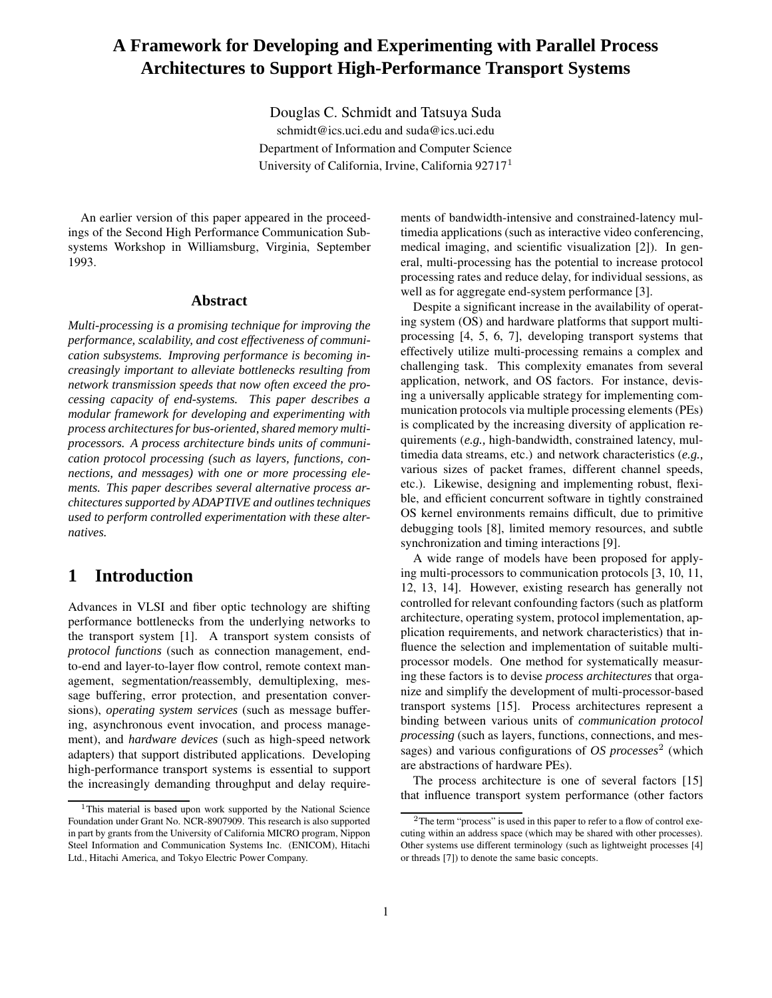# **A Framework for Developing and Experimenting with Parallel Process Architectures to Support High-Performance Transport Systems**

Douglas C. Schmidt and Tatsuya Suda

schmidt@ics.uci.edu and suda@ics.uci.edu Department of Information and Computer Science University of California, Irvine, California 92717<sup>1</sup>

An earlier version of this paper appeared in the proceedings of the Second High Performance Communication Subsystems Workshop in Williamsburg, Virginia, September 1993.

### **Abstract**

*Multi-processing is a promising technique for improving the performance, scalability, and cost effectiveness of communication subsystems. Improving performance is becoming increasingly important to alleviate bottlenecks resulting from network transmission speeds that now often exceed the processing capacity of end-systems. This paper describes a modular framework for developing and experimenting with process architecturesfor bus-oriented,shared memory multiprocessors. A process architecture binds units of communication protocol processing (such as layers, functions, connections, and messages) with one or more processing elements. This paper describes several alternative process architectures supported by ADAPTIVE and outlines techniques used to perform controlled experimentation with these alternatives.*

# **1 Introduction**

Advances in VLSI and fiber optic technology are shifting performance bottlenecks from the underlying networks to the transport system [1]. A transport system consists of *protocol functions* (such as connection management, endto-end and layer-to-layer flow control, remote context management, segmentation/reassembly, demultiplexing, message buffering, error protection, and presentation conversions), *operating system services* (such as message buffering, asynchronous event invocation, and process management), and *hardware devices* (such as high-speed network adapters) that support distributed applications. Developing high-performance transport systems is essential to support the increasingly demanding throughput and delay requirements of bandwidth-intensive and constrained-latency multimedia applications (such as interactive video conferencing, medical imaging, and scientific visualization [2]). In general, multi-processing has the potential to increase protocol processing rates and reduce delay, for individual sessions, as well as for aggregate end-system performance [3].

Despite a significant increase in the availability of operating system (OS) and hardware platforms that support multiprocessing [4, 5, 6, 7], developing transport systems that effectively utilize multi-processing remains a complex and challenging task. This complexity emanates from several application, network, and OS factors. For instance, devising a universally applicable strategy for implementing communication protocols via multiple processing elements (PEs) is complicated by the increasing diversity of application requirements (*e.g.,* high-bandwidth, constrained latency, multimedia data streams, etc.) and network characteristics (*e.g.,* various sizes of packet frames, different channel speeds, etc.). Likewise, designing and implementing robust, flexible, and efficient concurrent software in tightly constrained OS kernel environments remains difficult, due to primitive debugging tools [8], limited memory resources, and subtle synchronization and timing interactions [9].

A wide range of models have been proposed for applying multi-processors to communication protocols [3, 10, 11, 12, 13, 14]. However, existing research has generally not controlled for relevant confounding factors (such as platform architecture, operating system, protocol implementation, application requirements, and network characteristics) that influence the selection and implementation of suitable multiprocessor models. One method for systematically measuring these factors is to devise *process architectures* that organize and simplify the development of multi-processor-based transport systems [15]. Process architectures represent a binding between various units of *communication protocol processing* (such as layers, functions, connections, and messages) and various configurations of *OS processes*<sup>2</sup> (which are abstractions of hardware PEs).

The process architecture is one of several factors [15] that influence transport system performance (other factors

<sup>&</sup>lt;sup>1</sup>This material is based upon work supported by the National Science Foundation under Grant No. NCR-8907909. This research is also supported in part by grants from the University of California MICRO program, Nippon Steel Information and Communication Systems Inc. (ENICOM), Hitachi Ltd., Hitachi America, and Tokyo Electric Power Company.

 $2$ The term "process" is used in this paper to refer to a flow of control executing within an address space (which may be shared with other processes). Other systems use different terminology (such as lightweight processes [4] or threads [7]) to denote the same basic concepts.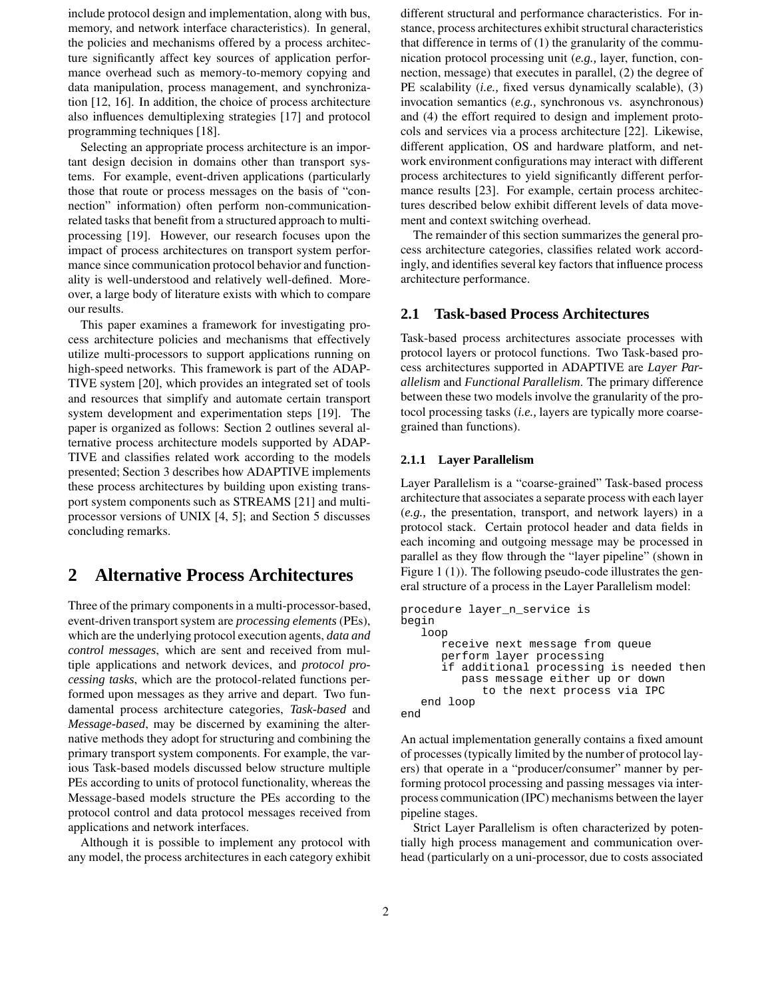include protocol design and implementation, along with bus, memory, and network interface characteristics). In general, the policies and mechanisms offered by a process architecture significantly affect key sources of application performance overhead such as memory-to-memory copying and data manipulation, process management, and synchronization [12, 16]. In addition, the choice of process architecture also influences demultiplexing strategies [17] and protocol programming techniques [18].

Selecting an appropriate process architecture is an important design decision in domains other than transport systems. For example, event-driven applications (particularly those that route or process messages on the basis of "connection" information) often perform non-communicationrelated tasks that benefit from a structured approach to multiprocessing [19]. However, our research focuses upon the impact of process architectures on transport system performance since communication protocol behavior and functionality is well-understood and relatively well-defined. Moreover, a large body of literature exists with which to compare our results.

This paper examines a framework for investigating process architecture policies and mechanisms that effectively utilize multi-processors to support applications running on high-speed networks. This framework is part of the ADAP-TIVE system [20], which provides an integrated set of tools and resources that simplify and automate certain transport system development and experimentation steps [19]. The paper is organized as follows: Section 2 outlines several alternative process architecture models supported by ADAP-TIVE and classifies related work according to the models presented; Section 3 describes how ADAPTIVE implements these process architectures by building upon existing transport system components such as STREAMS [21] and multiprocessor versions of UNIX [4, 5]; and Section 5 discusses concluding remarks.

# **2 Alternative Process Architectures**

Three of the primary components in a multi-processor-based, event-driven transport system are *processing elements* (PEs), which are the underlying protocol execution agents, *data and control messages*, which are sent and received from multiple applications and network devices, and *protocol processing tasks*, which are the protocol-related functions performed upon messages as they arrive and depart. Two fundamental process architecture categories, *Task-based* and *Message-based*, may be discerned by examining the alternative methods they adopt for structuring and combining the primary transport system components. For example, the various Task-based models discussed below structure multiple PEs according to units of protocol functionality, whereas the Message-based models structure the PEs according to the protocol control and data protocol messages received from applications and network interfaces.

Although it is possible to implement any protocol with any model, the process architectures in each category exhibit different structural and performance characteristics. For instance, process architectures exhibit structural characteristics that difference in terms of (1) the granularity of the communication protocol processing unit (*e.g.,* layer, function, connection, message) that executes in parallel, (2) the degree of PE scalability (*i.e.,* fixed versus dynamically scalable), (3) invocation semantics (*e.g.,* synchronous vs. asynchronous) and (4) the effort required to design and implement protocols and services via a process architecture [22]. Likewise, different application, OS and hardware platform, and network environment configurations may interact with different process architectures to yield significantly different performance results [23]. For example, certain process architectures described below exhibit different levels of data movement and context switching overhead.

The remainder of this section summarizes the general process architecture categories, classifies related work accordingly, and identifies several key factors that influence process architecture performance.

### **2.1 Task-based Process Architectures**

Task-based process architectures associate processes with protocol layers or protocol functions. Two Task-based process architectures supported in ADAPTIVE are *Layer Parallelism* and *Functional Parallelism*. The primary difference between these two models involve the granularity of the protocol processing tasks (*i.e.,* layers are typically more coarsegrained than functions).

#### **2.1.1 Layer Parallelism**

Layer Parallelism is a "coarse-grained" Task-based process architecture that associates a separate process with each layer (*e.g.,* the presentation, transport, and network layers) in a protocol stack. Certain protocol header and data fields in each incoming and outgoing message may be processed in parallel as they flow through the "layer pipeline" (shown in Figure 1 (1)). The following pseudo-code illustrates the general structure of a process in the Layer Parallelism model:

```
procedure layer_n_service is
begin
   loop
      receive next message from queue
      perform layer processing
      if additional processing is needed then
         pass message either up or down
            to the next process via IPC
   end loop
end
```
An actual implementation generally contains a fixed amount of processes(typically limited by the number of protocol layers) that operate in a "producer/consumer" manner by performing protocol processing and passing messages via interprocess communication (IPC) mechanisms between the layer pipeline stages.

Strict Layer Parallelism is often characterized by potentially high process management and communication overhead (particularly on a uni-processor, due to costs associated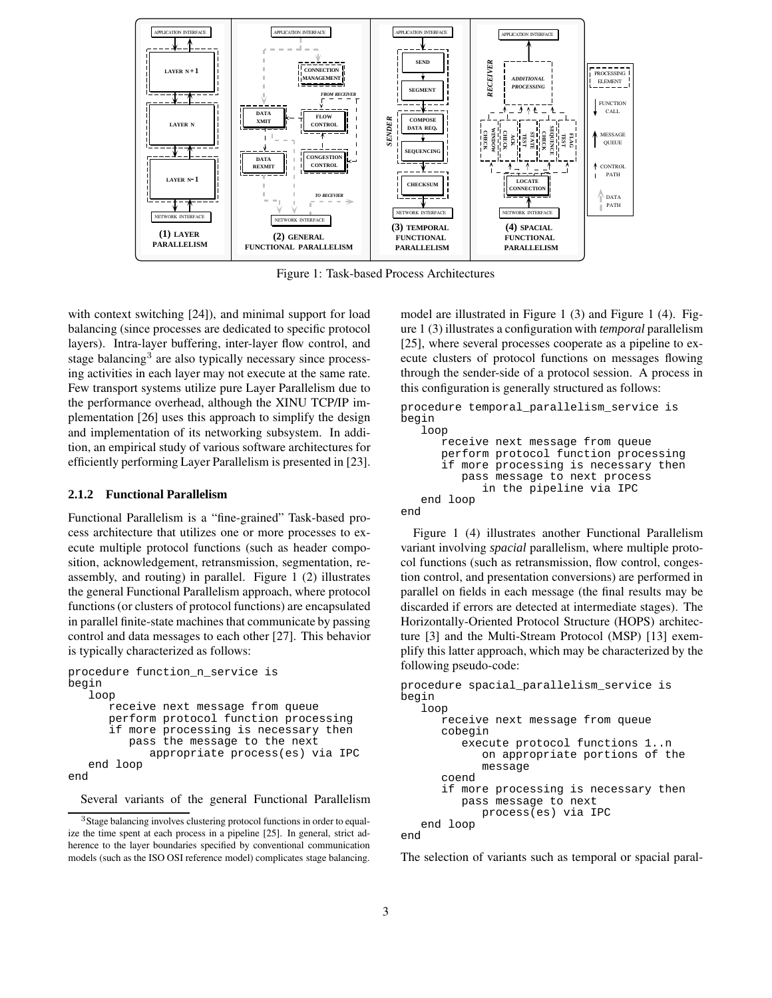

Figure 1: Task-based Process Architectures

with context switching [24]), and minimal support for load balancing (since processes are dedicated to specific protocol layers). Intra-layer buffering, inter-layer flow control, and stage balancing<sup>3</sup> are also typically necessary since processing activities in each layer may not execute at the same rate. Few transport systems utilize pure Layer Parallelism due to the performance overhead, although the XINU TCP/IP implementation [26] uses this approach to simplify the design and implementation of its networking subsystem. In addition, an empirical study of various software architectures for efficiently performing Layer Parallelism is presented in [23].

#### **2.1.2 Functional Parallelism**

Functional Parallelism is a "fine-grained" Task-based process architecture that utilizes one or more processes to execute multiple protocol functions (such as header composition, acknowledgement, retransmission, segmentation, reassembly, and routing) in parallel. Figure 1 (2) illustrates the general Functional Parallelism approach, where protocol functions (or clusters of protocol functions) are encapsulated in parallel finite-state machines that communicate by passing control and data messages to each other [27]. This behavior is typically characterized as follows:

```
procedure function_n_service is
begin
   loop
      receive next message from queue
      perform protocol function processing
      if more processing is necessary then
         pass the message to the next
            appropriate process(es) via IPC
   end loop
end
```
Several variants of the general Functional Parallelism

model are illustrated in Figure 1 (3) and Figure 1 (4). Figure 1 (3) illustrates a configuration with *temporal* parallelism [25], where several processes cooperate as a pipeline to execute clusters of protocol functions on messages flowing through the sender-side of a protocol session. A process in this configuration is generally structured as follows:

```
procedure temporal_parallelism_service is
begin
   loop
      receive next message from queue
```

```
perform protocol function processing
      if more processing is necessary then
         pass message to next process
            in the pipeline via IPC
   end loop
end
```
Figure 1 (4) illustrates another Functional Parallelism variant involving *spacial* parallelism, where multiple protocol functions (such as retransmission, flow control, congestion control, and presentation conversions) are performed in parallel on fields in each message (the final results may be discarded if errors are detected at intermediate stages). The Horizontally-Oriented Protocol Structure (HOPS) architecture [3] and the Multi-Stream Protocol (MSP) [13] exemplify this latter approach, which may be characterized by the following pseudo-code:

```
procedure spacial_parallelism_service is
begin
   loop
      receive next message from queue
      cobegin
         execute protocol functions 1..n
            on appropriate portions of the
            message
      coend
      if more processing is necessary then
         pass message to next
            process(es) via IPC
   end loop
end
```
The selection of variants such as temporal or spacial paral-

<sup>&</sup>lt;sup>3</sup>Stage balancing involves clustering protocol functions in order to equalize the time spent at each process in a pipeline [25]. In general, strict adherence to the layer boundaries specified by conventional communication models (such as the ISO OSI reference model) complicates stage balancing.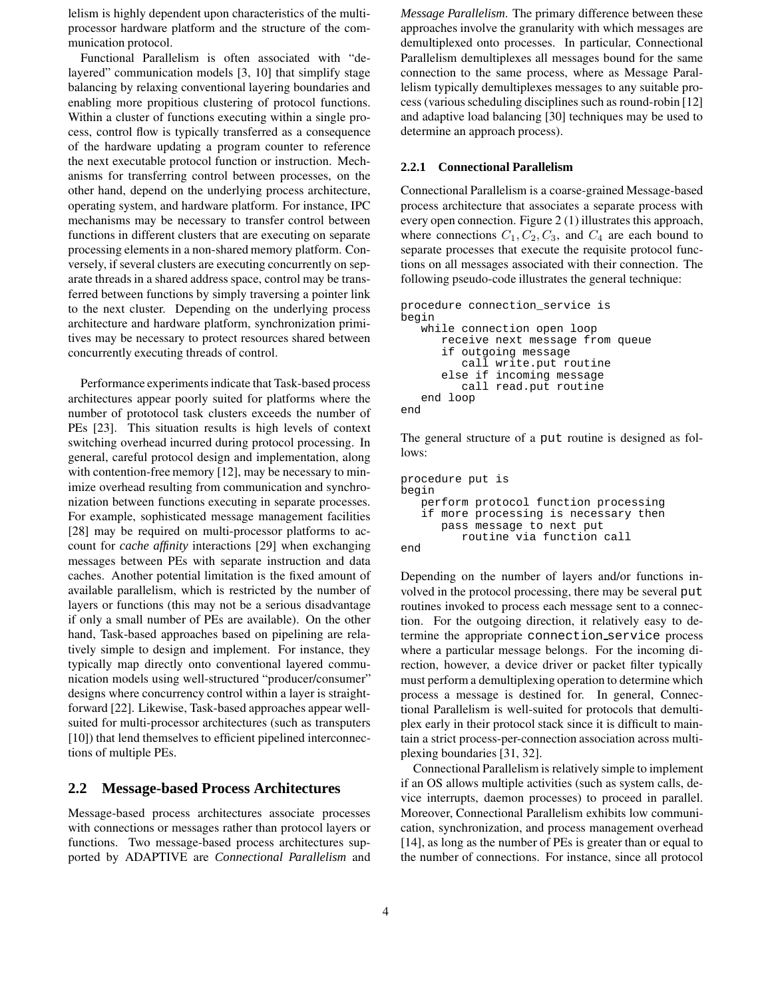lelism is highly dependent upon characteristics of the multiprocessor hardware platform and the structure of the communication protocol.

Functional Parallelism is often associated with "delayered" communication models [3, 10] that simplify stage balancing by relaxing conventional layering boundaries and enabling more propitious clustering of protocol functions. Within a cluster of functions executing within a single process, control flow is typically transferred as a consequence of the hardware updating a program counter to reference the next executable protocol function or instruction. Mechanisms for transferring control between processes, on the other hand, depend on the underlying process architecture, operating system, and hardware platform. For instance, IPC mechanisms may be necessary to transfer control between functions in different clusters that are executing on separate processing elements in a non-shared memory platform. Conversely, if several clusters are executing concurrently on separate threads in a shared address space, control may be transferred between functions by simply traversing a pointer link to the next cluster. Depending on the underlying process architecture and hardware platform, synchronization primitives may be necessary to protect resources shared between concurrently executing threads of control.

Performance experiments indicate that Task-based process architectures appear poorly suited for platforms where the number of prototocol task clusters exceeds the number of PEs [23]. This situation results is high levels of context switching overhead incurred during protocol processing. In general, careful protocol design and implementation, along with contention-free memory [12], may be necessary to minimize overhead resulting from communication and synchronization between functions executing in separate processes. For example, sophisticated message management facilities [28] may be required on multi-processor platforms to account for *cache affinity* interactions [29] when exchanging messages between PEs with separate instruction and data caches. Another potential limitation is the fixed amount of available parallelism, which is restricted by the number of layers or functions (this may not be a serious disadvantage if only a small number of PEs are available). On the other hand, Task-based approaches based on pipelining are relatively simple to design and implement. For instance, they typically map directly onto conventional layered communication models using well-structured "producer/consumer" designs where concurrency control within a layer is straightforward [22]. Likewise, Task-based approaches appear wellsuited for multi-processor architectures (such as transputers [10]) that lend themselves to efficient pipelined interconnections of multiple PEs.

## **2.2 Message-based Process Architectures**

Message-based process architectures associate processes with connections or messages rather than protocol layers or functions. Two message-based process architectures supported by ADAPTIVE are *Connectional Parallelism* and *Message Parallelism*. The primary difference between these approaches involve the granularity with which messages are demultiplexed onto processes. In particular, Connectional Parallelism demultiplexes all messages bound for the same connection to the same process, where as Message Parallelism typically demultiplexes messages to any suitable process (variousscheduling disciplines such as round-robin [12] and adaptive load balancing [30] techniques may be used to determine an approach process).

#### **2.2.1 Connectional Parallelism**

Connectional Parallelism is a coarse-grained Message-based process architecture that associates a separate process with every open connection. Figure 2 (1) illustrates this approach, where connections  $C_1, C_2, C_3$ , and  $C_4$  are each bound to separate processes that execute the requisite protocol functions on all messages associated with their connection. The following pseudo-code illustrates the general technique:

```
procedure connection_service is
begin
   while connection open loop
      receive next message from queue
      if outgoing message
         call write.put routine
      else if incoming message
         call read.put routine
   end loop
end
```
The general structure of a put routine is designed as follows:

```
procedure put is
begin
  perform protocol function processing
   if more processing is necessary then
      pass message to next put
         routine via function call
end
```
Depending on the number of layers and/or functions involved in the protocol processing, there may be several put routines invoked to process each message sent to a connection. For the outgoing direction, it relatively easy to determine the appropriate connection service process where a particular message belongs. For the incoming direction, however, a device driver or packet filter typically must perform a demultiplexing operation to determine which process a message is destined for. In general, Connectional Parallelism is well-suited for protocols that demultiplex early in their protocol stack since it is difficult to maintain a strict process-per-connection association across multiplexing boundaries [31, 32].

Connectional Parallelism is relatively simple to implement if an OS allows multiple activities (such as system calls, device interrupts, daemon processes) to proceed in parallel. Moreover, Connectional Parallelism exhibits low communication, synchronization, and process management overhead [14], as long as the number of PEs is greater than or equal to the number of connections. For instance, since all protocol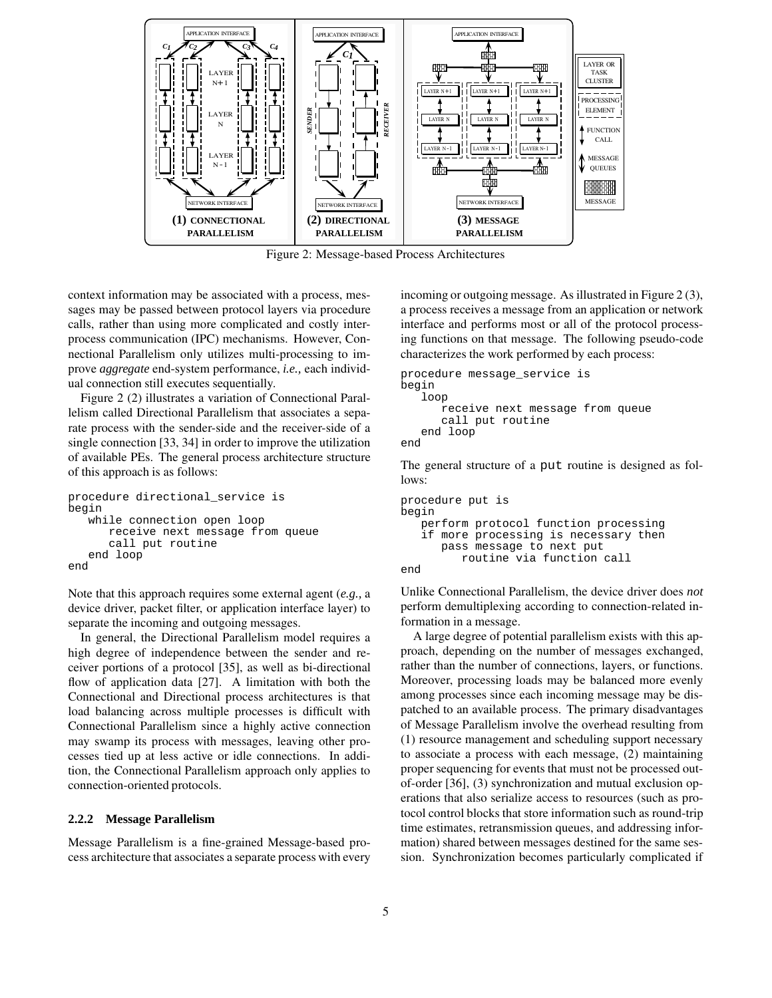

Figure 2: Message-based Process Architectures

context information may be associated with a process, messages may be passed between protocol layers via procedure calls, rather than using more complicated and costly interprocess communication (IPC) mechanisms. However, Connectional Parallelism only utilizes multi-processing to improve *aggregate* end-system performance, *i.e.,* each individual connection still executes sequentially.

Figure 2 (2) illustrates a variation of Connectional Parallelism called Directional Parallelism that associates a separate process with the sender-side and the receiver-side of a single connection [33, 34] in order to improve the utilization of available PEs. The general process architecture structure of this approach is as follows:

```
procedure directional_service is
begin
   while connection open loop
      receive next message from queue
      call put routine
   end loop
end
```
Note that this approach requires some external agent (*e.g.,* a device driver, packet filter, or application interface layer) to separate the incoming and outgoing messages.

In general, the Directional Parallelism model requires a high degree of independence between the sender and receiver portions of a protocol [35], as well as bi-directional flow of application data [27]. A limitation with both the Connectional and Directional process architectures is that load balancing across multiple processes is difficult with Connectional Parallelism since a highly active connection may swamp its process with messages, leaving other processes tied up at less active or idle connections. In addition, the Connectional Parallelism approach only applies to connection-oriented protocols.

### **2.2.2 Message Parallelism**

Message Parallelism is a fine-grained Message-based process architecture that associates a separate process with every incoming or outgoing message. As illustrated in Figure 2 (3), a process receives a message from an application or network interface and performs most or all of the protocol processing functions on that message. The following pseudo-code characterizes the work performed by each process:

```
procedure message_service is
begin
   loop
      receive next message from queue
      call put routine
   end loop
end
```
The general structure of a put routine is designed as follows:

```
procedure put is
begin
   perform protocol function processing
   if more processing is necessary then
      pass message to next put
         routine via function call
end
```
Unlike Connectional Parallelism, the device driver does *not* perform demultiplexing according to connection-related information in a message.

A large degree of potential parallelism exists with this approach, depending on the number of messages exchanged, rather than the number of connections, layers, or functions. Moreover, processing loads may be balanced more evenly among processes since each incoming message may be dispatched to an available process. The primary disadvantages of Message Parallelism involve the overhead resulting from (1) resource management and scheduling support necessary to associate a process with each message, (2) maintaining proper sequencing for events that must not be processed outof-order [36], (3) synchronization and mutual exclusion operations that also serialize access to resources (such as protocol control blocks that store information such as round-trip time estimates, retransmission queues, and addressing information) shared between messages destined for the same session. Synchronization becomes particularly complicated if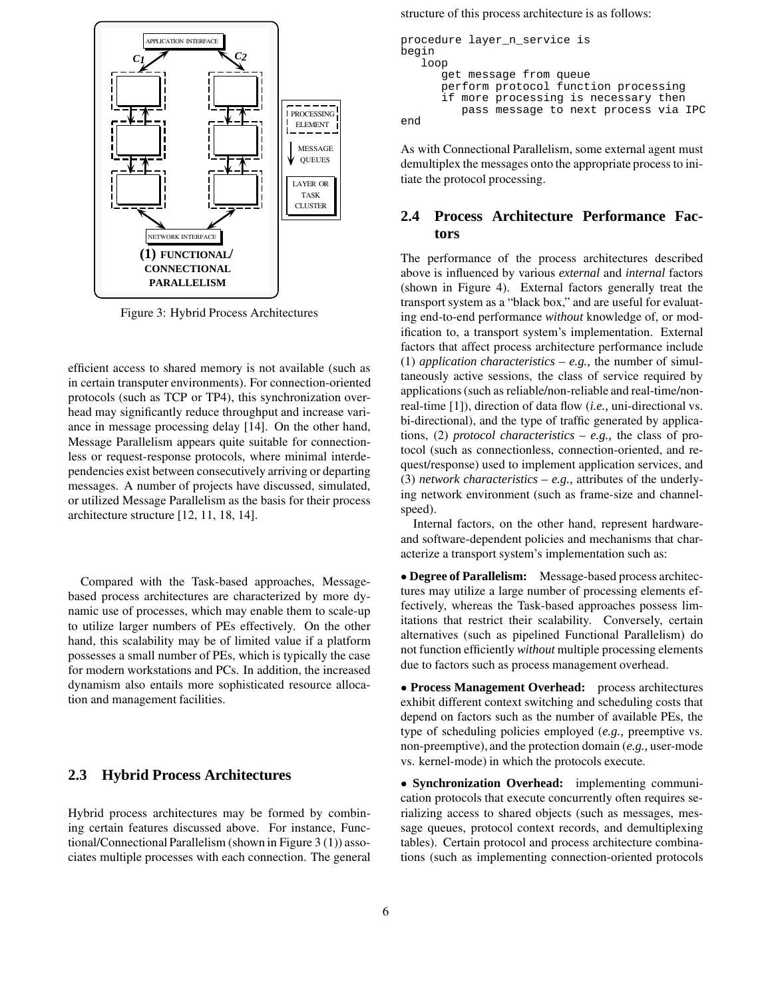

Figure 3: Hybrid Process Architectures

efficient access to shared memory is not available (such as in certain transputer environments). For connection-oriented protocols (such as TCP or TP4), this synchronization overhead may significantly reduce throughput and increase variance in message processing delay [14]. On the other hand, Message Parallelism appears quite suitable for connectionless or request-response protocols, where minimal interdependencies exist between consecutively arriving or departing messages. A number of projects have discussed, simulated, or utilized Message Parallelism as the basis for their process architecture structure [12, 11, 18, 14].

Compared with the Task-based approaches, Messagebased process architectures are characterized by more dynamic use of processes, which may enable them to scale-up to utilize larger numbers of PEs effectively. On the other hand, this scalability may be of limited value if a platform possesses a small number of PEs, which is typically the case for modern workstations and PCs. In addition, the increased dynamism also entails more sophisticated resource allocation and management facilities.

### **2.3 Hybrid Process Architectures**

Hybrid process architectures may be formed by combining certain features discussed above. For instance, Functional/Connectional Parallelism (shown in Figure 3 (1)) associates multiple processes with each connection. The general structure of this process architecture is as follows:

```
procedure layer n service is
begin
  loop
      get message from queue
      perform protocol function processing
      if more processing is necessary then
         pass message to next process via IPC
end
```
As with Connectional Parallelism, some external agent must demultiplex the messages onto the appropriate process to initiate the protocol processing.

## **2.4 Process Architecture Performance Factors**

The performance of the process architectures described above is influenced by various *external* and *internal* factors (shown in Figure 4). External factors generally treat the transport system as a "black box," and are useful for evaluating end-to-end performance *without* knowledge of, or modification to, a transport system's implementation. External factors that affect process architecture performance include (1) *application characteristics* – *e.g.,* the number of simultaneously active sessions, the class of service required by applications(such as reliable/non-reliable and real-time/nonreal-time [1]), direction of data flow (*i.e.,* uni-directional vs. bi-directional), and the type of traffic generated by applications, (2) *protocol characteristics* – *e.g.,* the class of protocol (such as connectionless, connection-oriented, and request/response) used to implement application services, and (3) *network characteristics* – *e.g.,* attributes of the underlying network environment (such as frame-size and channelspeed).

Internal factors, on the other hand, represent hardwareand software-dependent policies and mechanisms that characterize a transport system's implementation such as:

• **Degree of Parallelism:** Message-based process architectures may utilize a large number of processing elements effectively, whereas the Task-based approaches possess limitations that restrict their scalability. Conversely, certain alternatives (such as pipelined Functional Parallelism) do not function efficiently *without* multiple processing elements due to factors such as process management overhead.

• **Process Management Overhead:** process architectures exhibit different context switching and scheduling costs that depend on factors such as the number of available PEs, the type of scheduling policies employed (*e.g.,* preemptive vs. non-preemptive), and the protection domain (*e.g.,* user-mode vs. kernel-mode) in which the protocols execute.

• **Synchronization Overhead:** implementing communication protocols that execute concurrently often requires serializing access to shared objects (such as messages, message queues, protocol context records, and demultiplexing tables). Certain protocol and process architecture combinations (such as implementing connection-oriented protocols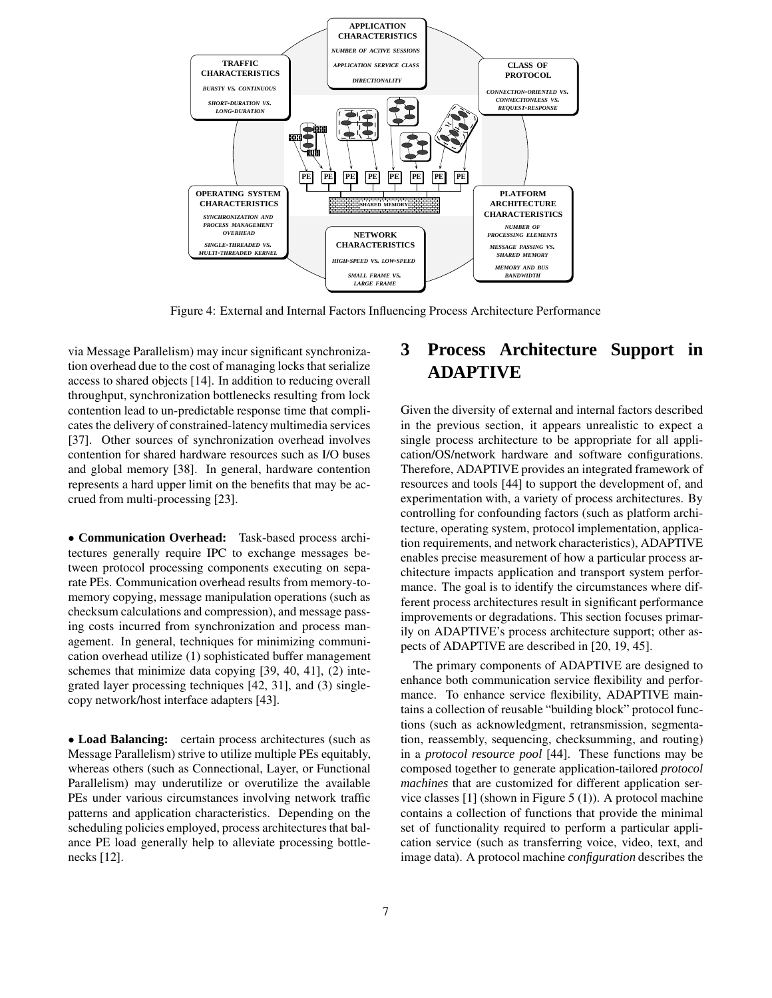

Figure 4: External and Internal Factors Influencing Process Architecture Performance

via Message Parallelism) may incur significant synchronization overhead due to the cost of managing locks that serialize access to shared objects [14]. In addition to reducing overall throughput, synchronization bottlenecks resulting from lock contention lead to un-predictable response time that complicates the delivery of constrained-latencymultimedia services [37]. Other sources of synchronization overhead involves contention for shared hardware resources such as I/O buses and global memory [38]. In general, hardware contention represents a hard upper limit on the benefits that may be accrued from multi-processing [23].

• **Communication Overhead:** Task-based process architectures generally require IPC to exchange messages between protocol processing components executing on separate PEs. Communication overhead results from memory-tomemory copying, message manipulation operations (such as checksum calculations and compression), and message passing costs incurred from synchronization and process management. In general, techniques for minimizing communication overhead utilize (1) sophisticated buffer management schemes that minimize data copying [39, 40, 41], (2) integrated layer processing techniques [42, 31], and (3) singlecopy network/host interface adapters [43].

• **Load Balancing:** certain process architectures (such as Message Parallelism) strive to utilize multiple PEs equitably, whereas others (such as Connectional, Layer, or Functional Parallelism) may underutilize or overutilize the available PEs under various circumstances involving network traffic patterns and application characteristics. Depending on the scheduling policies employed, process architectures that balance PE load generally help to alleviate processing bottlenecks [12].

# **3 Process Architecture Support in ADAPTIVE**

Given the diversity of external and internal factors described in the previous section, it appears unrealistic to expect a single process architecture to be appropriate for all application/OS/network hardware and software configurations. Therefore, ADAPTIVE provides an integrated framework of resources and tools [44] to support the development of, and experimentation with, a variety of process architectures. By controlling for confounding factors (such as platform architecture, operating system, protocol implementation, application requirements, and network characteristics), ADAPTIVE enables precise measurement of how a particular process architecture impacts application and transport system performance. The goal is to identify the circumstances where different process architectures result in significant performance improvements or degradations. This section focuses primarily on ADAPTIVE's process architecture support; other aspects of ADAPTIVE are described in [20, 19, 45].

The primary components of ADAPTIVE are designed to enhance both communication service flexibility and performance. To enhance service flexibility, ADAPTIVE maintains a collection of reusable "building block" protocol functions (such as acknowledgment, retransmission, segmentation, reassembly, sequencing, checksumming, and routing) in a *protocol resource pool* [44]. These functions may be composed together to generate application-tailored *protocol machines* that are customized for different application service classes [1] (shown in Figure 5 (1)). A protocol machine contains a collection of functions that provide the minimal set of functionality required to perform a particular application service (such as transferring voice, video, text, and image data). A protocol machine *configuration* describes the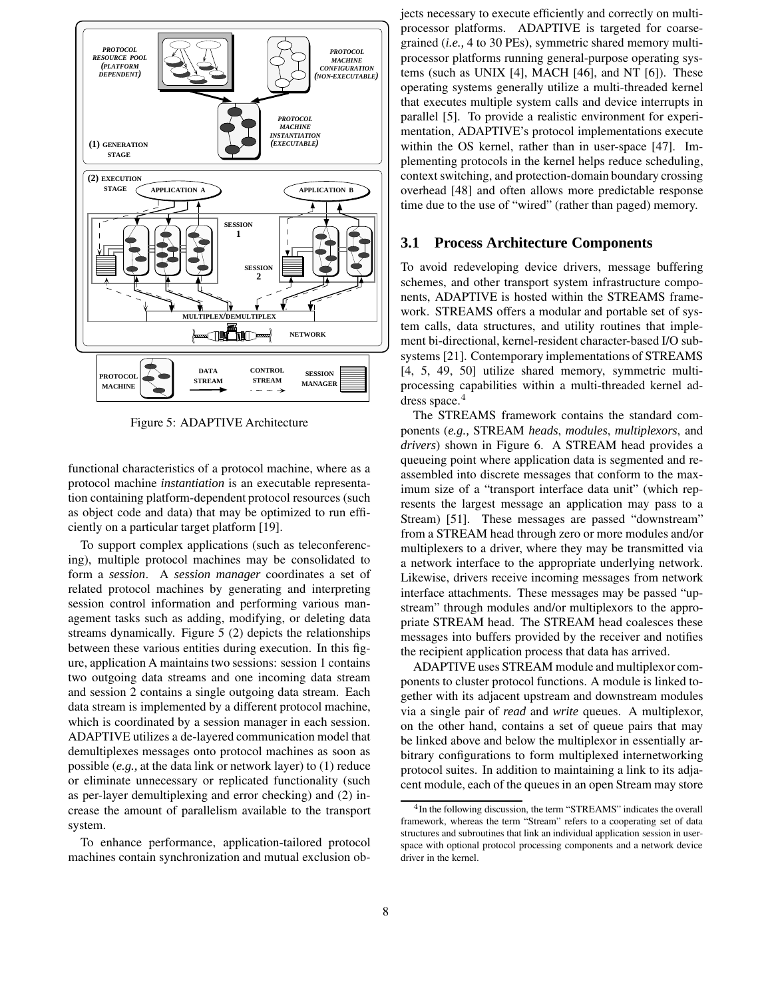

Figure 5: ADAPTIVE Architecture

functional characteristics of a protocol machine, where as a protocol machine *instantiation* is an executable representation containing platform-dependent protocol resources (such as object code and data) that may be optimized to run efficiently on a particular target platform [19].

To support complex applications (such as teleconferencing), multiple protocol machines may be consolidated to form a *session*. A *session manager* coordinates a set of related protocol machines by generating and interpreting session control information and performing various management tasks such as adding, modifying, or deleting data streams dynamically. Figure 5 (2) depicts the relationships between these various entities during execution. In this figure, application A maintains two sessions: session 1 contains two outgoing data streams and one incoming data stream and session 2 contains a single outgoing data stream. Each data stream is implemented by a different protocol machine, which is coordinated by a session manager in each session. ADAPTIVE utilizes a de-layered communication model that demultiplexes messages onto protocol machines as soon as possible (*e.g.,* at the data link or network layer) to (1) reduce or eliminate unnecessary or replicated functionality (such as per-layer demultiplexing and error checking) and (2) increase the amount of parallelism available to the transport system.

To enhance performance, application-tailored protocol machines contain synchronization and mutual exclusion objects necessary to execute efficiently and correctly on multiprocessor platforms. ADAPTIVE is targeted for coarsegrained (*i.e.,* 4 to 30 PEs), symmetric shared memory multiprocessor platforms running general-purpose operating systems (such as UNIX [4], MACH [46], and NT [6]). These operating systems generally utilize a multi-threaded kernel that executes multiple system calls and device interrupts in parallel [5]. To provide a realistic environment for experimentation, ADAPTIVE's protocol implementations execute within the OS kernel, rather than in user-space [47]. Implementing protocols in the kernel helps reduce scheduling, context switching, and protection-domain boundary crossing overhead [48] and often allows more predictable response time due to the use of "wired" (rather than paged) memory.

### **3.1 Process Architecture Components**

To avoid redeveloping device drivers, message buffering schemes, and other transport system infrastructure components, ADAPTIVE is hosted within the STREAMS framework. STREAMS offers a modular and portable set of system calls, data structures, and utility routines that implement bi-directional, kernel-resident character-based I/O subsystems [21]. Contemporary implementations of STREAMS [4, 5, 49, 50] utilize shared memory, symmetric multiprocessing capabilities within a multi-threaded kernel address space.<sup>4</sup>

The STREAMS framework contains the standard components (*e.g.,* STREAM *heads*, *modules*, *multiplexors*, and *drivers*) shown in Figure 6. A STREAM head provides a queueing point where application data is segmented and reassembled into discrete messages that conform to the maximum size of a "transport interface data unit" (which represents the largest message an application may pass to a Stream) [51]. These messages are passed "downstream" from a STREAM head through zero or more modules and/or multiplexers to a driver, where they may be transmitted via a network interface to the appropriate underlying network. Likewise, drivers receive incoming messages from network interface attachments. These messages may be passed "upstream" through modules and/or multiplexors to the appropriate STREAM head. The STREAM head coalesces these messages into buffers provided by the receiver and notifies the recipient application process that data has arrived.

ADAPTIVE uses STREAM module and multiplexor components to cluster protocol functions. A module is linked together with its adjacent upstream and downstream modules via a single pair of *read* and *write* queues. A multiplexor, on the other hand, contains a set of queue pairs that may be linked above and below the multiplexor in essentially arbitrary configurations to form multiplexed internetworking protocol suites. In addition to maintaining a link to its adjacent module, each of the queues in an open Stream may store

<sup>4</sup> In the following discussion, the term "STREAMS" indicates the overall framework, whereas the term "Stream" refers to a cooperating set of data structures and subroutines that link an individual application session in userspace with optional protocol processing components and a network device driver in the kernel.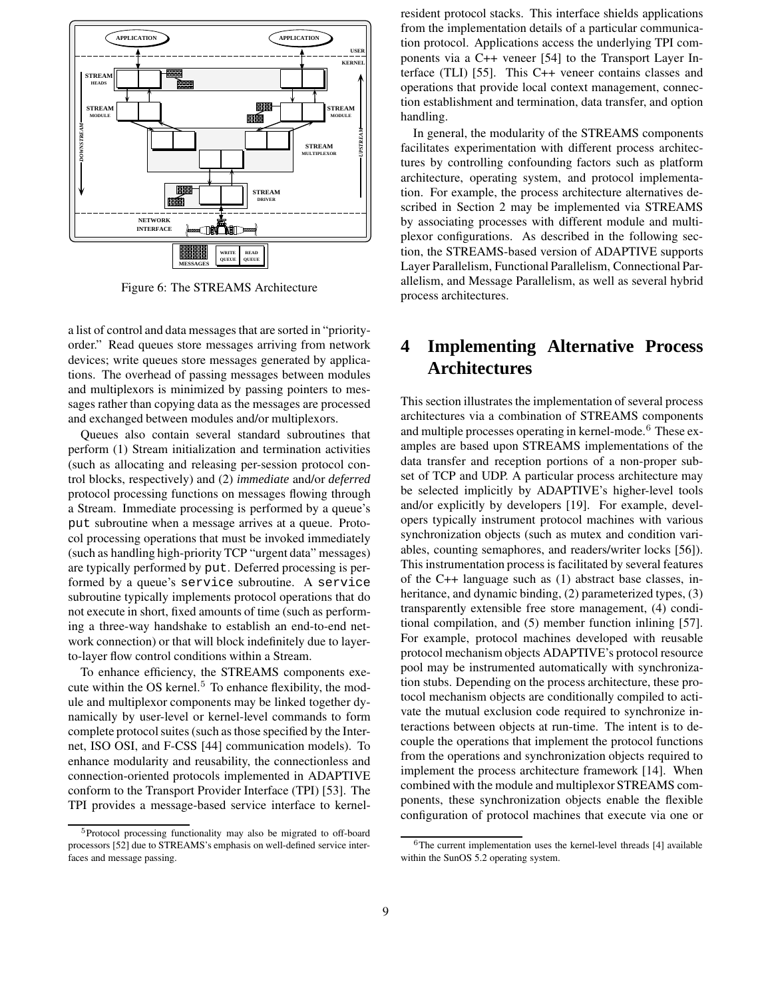

Figure 6: The STREAMS Architecture

a list of control and data messages that are sorted in "priorityorder." Read queues store messages arriving from network devices; write queues store messages generated by applications. The overhead of passing messages between modules and multiplexors is minimized by passing pointers to messages rather than copying data as the messages are processed and exchanged between modules and/or multiplexors.

Queues also contain several standard subroutines that perform (1) Stream initialization and termination activities (such as allocating and releasing per-session protocol control blocks, respectively) and (2) *immediate* and/or *deferred* protocol processing functions on messages flowing through a Stream. Immediate processing is performed by a queue's put subroutine when a message arrives at a queue. Protocol processing operations that must be invoked immediately (such as handling high-priority TCP "urgent data" messages) are typically performed by put. Deferred processing is performed by a queue's service subroutine. A service subroutine typically implements protocol operations that do not execute in short, fixed amounts of time (such as performing a three-way handshake to establish an end-to-end network connection) or that will block indefinitely due to layerto-layer flow control conditions within a Stream.

To enhance efficiency, the STREAMS components execute within the OS kernel. $5$  To enhance flexibility, the module and multiplexor components may be linked together dynamically by user-level or kernel-level commands to form complete protocolsuites (such as those specified by the Internet, ISO OSI, and F-CSS [44] communication models). To enhance modularity and reusability, the connectionless and connection-oriented protocols implemented in ADAPTIVE conform to the Transport Provider Interface (TPI) [53]. The TPI provides a message-based service interface to kernelresident protocol stacks. This interface shields applications from the implementation details of a particular communication protocol. Applications access the underlying TPI components via a C++ veneer [54] to the Transport Layer Interface (TLI) [55]. This C++ veneer contains classes and operations that provide local context management, connection establishment and termination, data transfer, and option handling.

In general, the modularity of the STREAMS components facilitates experimentation with different process architectures by controlling confounding factors such as platform architecture, operating system, and protocol implementation. For example, the process architecture alternatives described in Section 2 may be implemented via STREAMS by associating processes with different module and multiplexor configurations. As described in the following section, the STREAMS-based version of ADAPTIVE supports Layer Parallelism, Functional Parallelism, Connectional Parallelism, and Message Parallelism, as well as several hybrid process architectures.

# **4 Implementing Alternative Process Architectures**

This section illustrates the implementation of several process architectures via a combination of STREAMS components and multiple processes operating in kernel-mode.<sup>6</sup> These examples are based upon STREAMS implementations of the data transfer and reception portions of a non-proper subset of TCP and UDP. A particular process architecture may be selected implicitly by ADAPTIVE's higher-level tools and/or explicitly by developers [19]. For example, developers typically instrument protocol machines with various synchronization objects (such as mutex and condition variables, counting semaphores, and readers/writer locks [56]). This instrumentation process is facilitated by several features of the C++ language such as (1) abstract base classes, inheritance, and dynamic binding, (2) parameterized types, (3) transparently extensible free store management, (4) conditional compilation, and (5) member function inlining [57]. For example, protocol machines developed with reusable protocol mechanism objects ADAPTIVE's protocol resource pool may be instrumented automatically with synchronization stubs. Depending on the process architecture, these protocol mechanism objects are conditionally compiled to activate the mutual exclusion code required to synchronize interactions between objects at run-time. The intent is to decouple the operations that implement the protocol functions from the operations and synchronization objects required to implement the process architecture framework [14]. When combined with the module and multiplexor STREAMS components, these synchronization objects enable the flexible configuration of protocol machines that execute via one or

<sup>&</sup>lt;sup>5</sup>Protocol processing functionality may also be migrated to off-board processors [52] due to STREAMS's emphasis on well-defined service interfaces and message passing.

 $6$ The current implementation uses the kernel-level threads [4] available within the SunOS 5.2 operating system.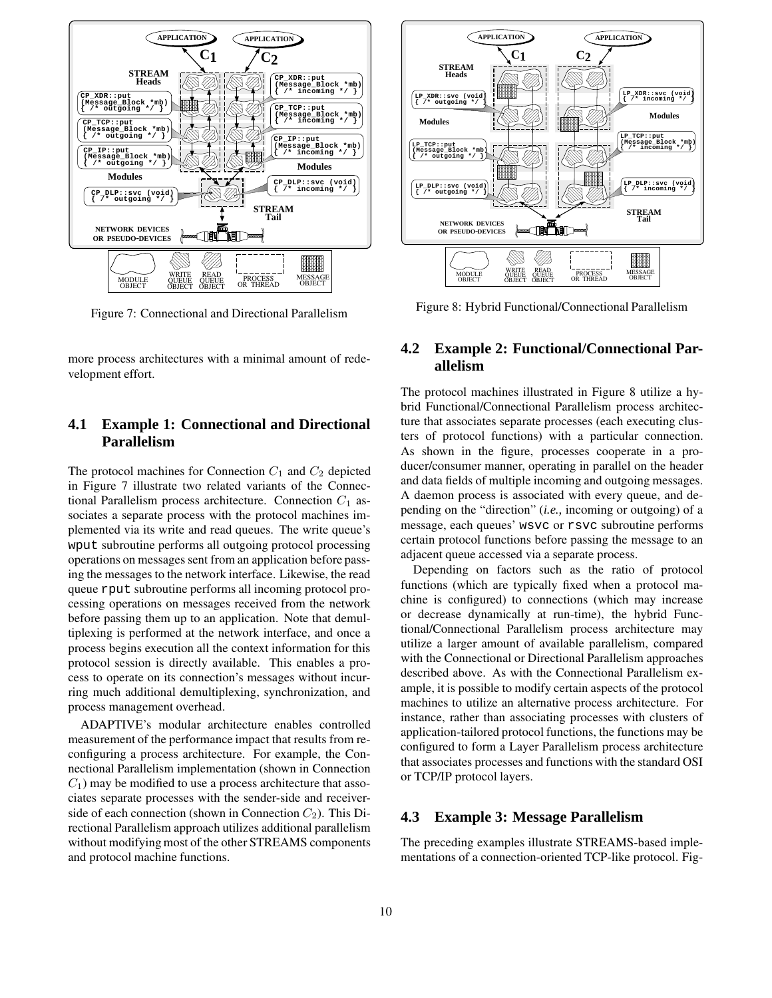

Figure 7: Connectional and Directional Parallelism

more process architectures with a minimal amount of redevelopment effort.

## **4.1 Example 1: Connectional and Directional Parallelism**

The protocol machines for Connection  $C_1$  and  $C_2$  depicted in Figure 7 illustrate two related variants of the Connectional Parallelism process architecture. Connection  $C_1$  associates a separate process with the protocol machines implemented via its write and read queues. The write queue's wput subroutine performs all outgoing protocol processing operations on messages sent from an application before passing the messages to the network interface. Likewise, the read queue rput subroutine performs all incoming protocol processing operations on messages received from the network before passing them up to an application. Note that demultiplexing is performed at the network interface, and once a process begins execution all the context information for this protocol session is directly available. This enables a process to operate on its connection's messages without incurring much additional demultiplexing, synchronization, and process management overhead.

ADAPTIVE's modular architecture enables controlled measurement of the performance impact that results from reconfiguring a process architecture. For example, the Connectional Parallelism implementation (shown in Connection  $C_1$ ) may be modified to use a process architecture that associates separate processes with the sender-side and receiverside of each connection (shown in Connection  $C_2$ ). This Directional Parallelism approach utilizes additional parallelism without modifying most of the other STREAMS components and protocol machine functions.



Figure 8: Hybrid Functional/Connectional Parallelism

## **4.2 Example 2: Functional/Connectional Parallelism**

The protocol machines illustrated in Figure 8 utilize a hybrid Functional/Connectional Parallelism process architecture that associates separate processes (each executing clusters of protocol functions) with a particular connection. As shown in the figure, processes cooperate in a producer/consumer manner, operating in parallel on the header and data fields of multiple incoming and outgoing messages. A daemon process is associated with every queue, and depending on the "direction" (*i.e.,* incoming or outgoing) of a message, each queues' wsvc or rsvc subroutine performs certain protocol functions before passing the message to an adjacent queue accessed via a separate process.

Depending on factors such as the ratio of protocol functions (which are typically fixed when a protocol machine is configured) to connections (which may increase or decrease dynamically at run-time), the hybrid Functional/Connectional Parallelism process architecture may utilize a larger amount of available parallelism, compared with the Connectional or Directional Parallelism approaches described above. As with the Connectional Parallelism example, it is possible to modify certain aspects of the protocol machines to utilize an alternative process architecture. For instance, rather than associating processes with clusters of application-tailored protocol functions, the functions may be configured to form a Layer Parallelism process architecture that associates processes and functions with the standard OSI or TCP/IP protocol layers.

### **4.3 Example 3: Message Parallelism**

The preceding examples illustrate STREAMS-based implementations of a connection-oriented TCP-like protocol. Fig-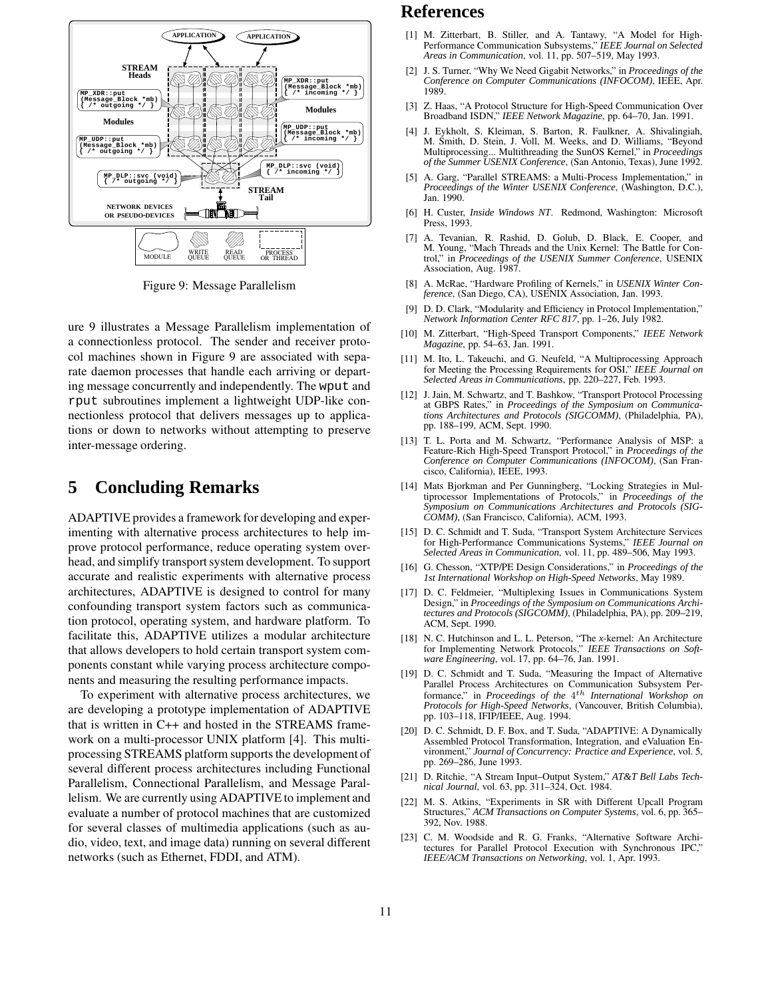

Figure 9: Message Parallelism

ure 9 illustrates a Message Parallelism implementation of a connectionless protocol. The sender and receiver protocol machines shown in Figure 9 are associated with separate daemon processes that handle each arriving or departing message concurrently and independently. The wput and rput subroutines implement a lightweight UDP-like connectionless protocol that delivers messages up to applications or down to networks without attempting to preserve inter-message ordering.

## **5 Concluding Remarks**

ADAPTIVE provides a framework for developing and experimenting with alternative process architectures to help improve protocol performance, reduce operating system overhead, and simplify transport system development. To support accurate and realistic experiments with alternative process architectures, ADAPTIVE is designed to control for many confounding transport system factors such as communication protocol, operating system, and hardware platform. To facilitate this, ADAPTIVE utilizes a modular architecture that allows developers to hold certain transport system components constant while varying process architecture components and measuring the resulting performance impacts.

To experiment with alternative process architectures, we are developing a prototype implementation of ADAPTIVE that is written in C++ and hosted in the STREAMS framework on a multi-processor UNIX platform [4]. This multiprocessing STREAMS platform supports the development of several different process architectures including Functional Parallelism, Connectional Parallelism, and Message Parallelism. We are currently using ADAPTIVE to implement and evaluate a number of protocol machines that are customized for several classes of multimedia applications (such as audio, video, text, and image data) running on several different networks (such as Ethernet, FDDI, and ATM).

# **References**

- [1] M. Zitterbart, B. Stiller, and A. Tantawy, "A Model for High-Performance Communication Subsystems," *IEEE Journal on Selected Areas in Communication*, vol. 11, pp. 507–519, May 1993.
- [2] J. S. Turner, "Why We Need Gigabit Networks," in *Proceedings of the Conference on Computer Communications (INFOCOM)*, IEEE, Apr. 1989.
- [3] Z. Haas, "A Protocol Structure for High-Speed Communication Over Broadband ISDN," *IEEE Network Magazine*, pp. 64–70, Jan. 1991.
- [4] J. Eykholt, S. Kleiman, S. Barton, R. Faulkner, A. Shivalingiah, M. Smith, D. Stein, J. Voll, M. Weeks, and D. Williams, "Beyond Multiprocessing... Multithreading the SunOS Kernel," in *Proceedings of the Summer USENIX Conference*, (San Antonio, Texas), June 1992.
- [5] A. Garg, "Parallel STREAMS: a Multi-Process Implementation," in *Proceedings of the Winter USENIX Conference*, (Washington, D.C.), Jan. 1990.
- [6] H. Custer, *Inside Windows NT*. Redmond, Washington: Microsoft Press, 1993.
- A. Tevanian, R. Rashid, D. Golub, D. Black, E. Cooper, and M. Young, "Mach Threads and the Unix Kernel: The Battle for Control," in *Proceedings of the USENIX Summer Conference*, USENIX Association, Aug. 1987.
- [8] A. McRae, "Hardware Profiling of Kernels," in *USENIX Winter Conference*, (San Diego, CA), USENIX Association, Jan. 1993.
- [9] D. D. Clark, "Modularity and Efficiency in Protocol Implementation," *Network Information Center RFC 817*, pp. 1–26, July 1982.
- [10] M. Zitterbart, "High-Speed Transport Components," *IEEE Network Magazine*, pp. 54–63, Jan. 1991.
- [11] M. Ito, L. Takeuchi, and G. Neufeld, "A Multiprocessing Approach for Meeting the Processing Requirements for OSI," *IEEE Journal on Selected Areas in Communications*, pp. 220–227, Feb. 1993.
- [12] J. Jain, M. Schwartz, and T. Bashkow, "Transport Protocol Processing at GBPS Rates," in *Proceedings of the Symposium on Communications Architectures and Protocols (SIGCOMM)*, (Philadelphia, PA), pp. 188–199, ACM, Sept. 1990.
- [13] T. L. Porta and M. Schwartz, "Performance Analysis of MSP: a Feature-Rich High-Speed Transport Protocol," in *Proceedings of the Conference on Computer Communications (INFOCOM)*, (San Francisco, California), IEEE, 1993.
- [14] Mats Bjorkman and Per Gunningberg, "Locking Strategies in Multiprocessor Implementations of Protocols," in *Proceedings of the Symposium on Communications Architectures and Protocols (SIG-COMM)*, (San Francisco, California), ACM, 1993.
- [15] D. C. Schmidt and T. Suda, "Transport System Architecture Services for High-Performance Communications Systems," *IEEE Journal on Selected Areas in Communication*, vol. 11, pp. 489–506, May 1993.
- [16] G. Chesson, "XTP/PE Design Considerations," in *Proceedings of the 1st International Workshop on High-Speed Networks*, May 1989.
- [17] D. C. Feldmeier, "Multiplexing Issues in Communications System Design," in *Proceedings of the Symposium on Communications Architectures and Protocols (SIGCOMM)*, (Philadelphia, PA), pp. 209–219, ACM, Sept. 1990.
- [18] N. C. Hutchinson and L. L. Peterson, "The *x*-kernel: An Architecture for Implementing Network Protocols," *IEEE Transactions on Software Engineering*, vol. 17, pp. 64–76, Jan. 1991.
- [19] D. C. Schmidt and T. Suda, "Measuring the Impact of Alternative Parallel Process Architectures on Communication Subsystem Performance," in *Proceedings of the* 4 th *International Workshop on Protocols for High-Speed Networks*, (Vancouver, British Columbia), pp. 103–118, IFIP/IEEE, Aug. 1994.
- [20] D. C. Schmidt, D. F. Box, and T. Suda, "ADAPTIVE: A Dynamically Assembled Protocol Transformation, Integration, and eValuation Environment," *Journal of Concurrency: Practice and Experience*, vol. 5, pp. 269–286, June 1993.
- [21] D. Ritchie, "A Stream Input–Output System," *AT&T Bell Labs Technical Journal*, vol. 63, pp. 311–324, Oct. 1984.
- [22] M. S. Atkins, "Experiments in SR with Different Upcall Program Structures," *ACM Transactions on Computer Systems*, vol. 6, pp. 365– 392, Nov. 1988.
- [23] C. M. Woodside and R. G. Franks, "Alternative Software Architectures for Parallel Protocol Execution with Synchronous IPC," *IEEE/ACM Transactions on Networking*, vol. 1, Apr. 1993.